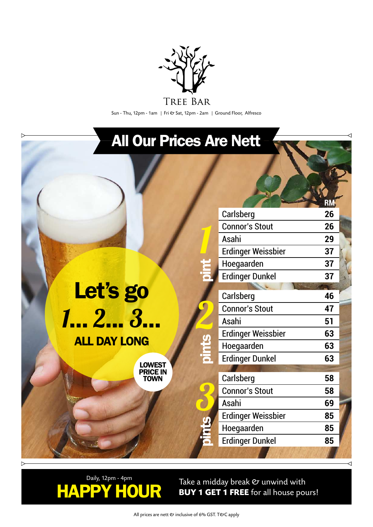

Sun - Thu, 12pm - 1am | Fri & Sat, 12pm - 2am | Ground Floor, Alfresco

### All Our Prices Are Nett

1

2

3

| Let's go            |  |
|---------------------|--|
| 7 2 3               |  |
| <b>ALL DAY LONG</b> |  |

LOWEST PRICE IN TOWN

| Carlsberg                 | 26 |  |
|---------------------------|----|--|
| <b>Connor's Stout</b>     | 26 |  |
| Asahi                     | 29 |  |
| <b>Erdinger Weissbier</b> | 37 |  |
| Hoegaarden                | 37 |  |
| <b>Erdinger Dunkel</b>    | 37 |  |
|                           |    |  |
| Carlsberg                 | 46 |  |
| <b>Connor's Stout</b>     | 47 |  |
| Asahi                     | 51 |  |
| <b>Erdinger Weissbier</b> | 63 |  |
| Hoegaarden                | 63 |  |
| <b>Erdinger Dunkel</b>    | 63 |  |
|                           |    |  |
| Carlsberg                 | 58 |  |
| <b>Connor's Stout</b>     | 58 |  |
| Asahi                     | 69 |  |
| <b>Erdinger Weissbier</b> | 85 |  |
| Hoegaarden                | 85 |  |
| <b>Erdinger Dunkel</b>    | 85 |  |
|                           |    |  |

**RM**



Take a midday break & unwind with **BUY 1 GET 1 FREE** for all house pours!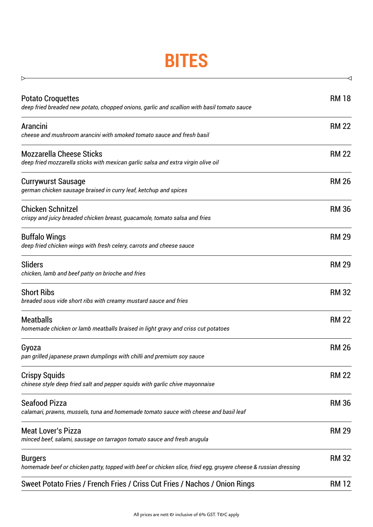## **BITES**

 $\triangleright$ 

| <b>Potato Croquettes</b><br>deep fried breaded new potato, chopped onions, garlic and scallion with basil tomato sauce            | <b>RM 18</b> |
|-----------------------------------------------------------------------------------------------------------------------------------|--------------|
| Arancini<br>cheese and mushroom arancini with smoked tomato sauce and fresh basil                                                 | <b>RM 22</b> |
| <b>Mozzarella Cheese Sticks</b><br>deep fried mozzarella sticks with mexican garlic salsa and extra virgin olive oil              | <b>RM 22</b> |
| <b>Currywurst Sausage</b><br>german chicken sausage braised in curry leaf, ketchup and spices                                     | <b>RM 26</b> |
| <b>Chicken Schnitzel</b><br>crispy and juicy breaded chicken breast, guacamole, tomato salsa and fries                            | <b>RM 36</b> |
| <b>Buffalo Wings</b><br>deep fried chicken wings with fresh celery, carrots and cheese sauce                                      | <b>RM 29</b> |
| <b>Sliders</b><br>chicken, lamb and beef patty on brioche and fries                                                               | <b>RM 29</b> |
| <b>Short Ribs</b><br>breaded sous vide short ribs with creamy mustard sauce and fries                                             | <b>RM 32</b> |
| <b>Meatballs</b><br>homemade chicken or lamb meatballs braised in light gravy and criss cut potatoes                              | <b>RM 22</b> |
| Gyoza<br>pan grilled japanese prawn dumplings with chilli and premium soy sauce                                                   | <b>RM 26</b> |
| <b>Crispy Squids</b><br>chinese style deep fried salt and pepper squids with garlic chive mayonnaise                              | <b>RM 22</b> |
| <b>Seafood Pizza</b><br>calamari, prawns, mussels, tuna and homemade tomato sauce with cheese and basil leaf                      | <b>RM 36</b> |
| <b>Meat Lover's Pizza</b><br>minced beef, salami, sausage on tarragon tomato sauce and fresh arugula                              | <b>RM 29</b> |
| <b>Burgers</b><br>homemade beef or chicken patty, topped with beef or chicken slice, fried egg, gruyere cheese & russian dressing | <b>RM 32</b> |
| Sweet Potato Fries / French Fries / Criss Cut Fries / Nachos / Onion Rings                                                        | <b>RM 12</b> |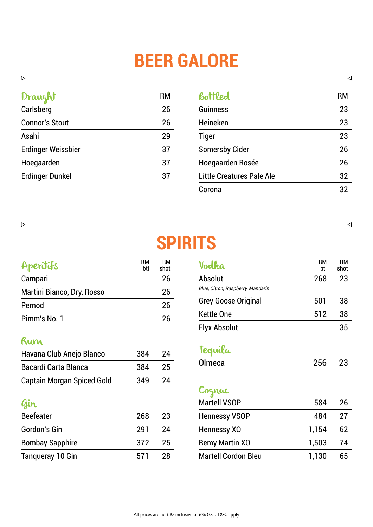# **BEER GALORE**

#### Draught RM Carlsberg 26

 $\triangleright$ 

 $\triangleright$ 

| <b>Connor's Stout</b>     | 26 |
|---------------------------|----|
| Asahi                     | 29 |
| <b>Erdinger Weissbier</b> | 37 |
| Hoegaarden                | 37 |
| <b>Erdinger Dunkel</b>    | 37 |

| Bottled                   | RM |
|---------------------------|----|
| <b>Guinness</b>           | 23 |
| <b>Heineken</b>           | 23 |
| <b>Tiger</b>              | 23 |
| <b>Somersby Cider</b>     | 26 |
| Hoegaarden Rosée          | 26 |
| Little Creatures Pale Ale | 32 |
| Corona                    | 32 |

◁

 $\triangleleft$ 

### **SPIRITS**

| Aperitifs                         | RМ<br>btl | RМ<br>shot |
|-----------------------------------|-----------|------------|
| Campari                           |           | 26         |
| <b>Martini Bianco, Dry, Rosso</b> |           | 26         |
| Pernod                            |           | 26         |
| Pimm's No. 1                      |           | 26         |

#### Rum

| Havana Club Anejo Blanco          | 384 | 24   |
|-----------------------------------|-----|------|
| <b>Bacardi Carta Blanca</b>       | 384 | - 25 |
| <b>Captain Morgan Spiced Gold</b> | 349 | 24   |

#### Gin

| <b>Beefeater</b>        | 268 | 23  |
|-------------------------|-----|-----|
| <b>Gordon's Gin</b>     | 291 | 24  |
| <b>Bombay Sapphire</b>  | 372 | -25 |
| <b>Tangueray 10 Gin</b> | 571 | 28  |

| Vodka                             | RM<br>btl | RМ<br>shot |
|-----------------------------------|-----------|------------|
| Absolut                           | 268       | 23         |
| Blue, Citron, Raspberry, Mandarin |           |            |
| <b>Grey Goose Original</b>        | 501       | 38         |
| <b>Kettle One</b>                 | 512       | 38         |
| Elyx Absolut                      |           | 35         |
| Tequila                           |           |            |
| Olmeca                            | 256       | 23         |
| Coznac                            |           |            |
| <b>Martell VSOP</b>               | 584       | 26         |
| <b>Hennessy VSOP</b>              | 484       | 27         |
| Hennessy XO                       | 1,154     | 62         |
| <b>Remy Martin XO</b>             | 1,503     | 74         |
| <b>Martell Cordon Bleu</b>        | 1,130     | 65         |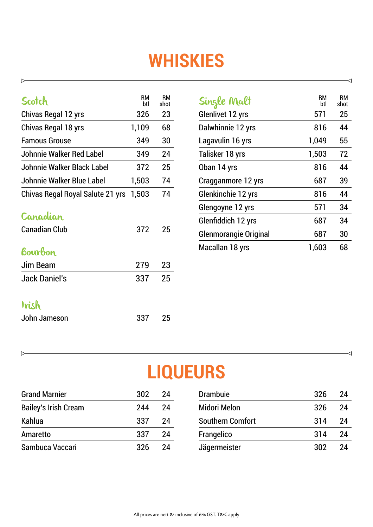## **WHISKIES**

| Scotch                           | RМ<br>btl | RM<br>shot |
|----------------------------------|-----------|------------|
| Chivas Regal 12 yrs              | 326       | 23         |
| Chivas Regal 18 yrs              | 1,109     | 68         |
| <b>Famous Grouse</b>             | 349       | 30         |
| Johnnie Walker Red Label         | 349       | 24         |
| Johnnie Walker Black Label       | 372       | 25         |
| Johnnie Walker Blue Label        | 1,503     | 74         |
| Chivas Regal Royal Salute 21 yrs | 1,503     | 74         |
| <b>Canadian</b>                  |           |            |
| <b>Canadian Club</b>             | 372       | 25         |
| <b>bourbon</b>                   |           |            |
| Jim Beam                         | 279       | 23         |
| <b>Jack Daniel's</b>             | 337       | 25         |
| trish                            |           |            |
| John Jameson                     | 337       | 25         |

 $\triangleright$ 

 $\triangleright$ 

| Single Malt                  | RM<br>btl | RM<br>shot |
|------------------------------|-----------|------------|
| <b>Glenlivet 12 yrs</b>      | 571       | 25         |
| Dalwhinnie 12 yrs            | 816       | 44         |
| Lagavulin 16 yrs             | 1,049     | 55         |
| Talisker 18 yrs              | 1,503     | 72         |
| Oban 14 yrs                  | 816       | 44         |
| Cragganmore 12 yrs           | 687       | 39         |
| Glenkinchie 12 yrs           | 816       | 44         |
| Glengoyne 12 yrs             | 571       | 34         |
| Glenfiddich 12 yrs           | 687       | 34         |
| <b>Glenmorangie Original</b> | 687       | 30         |
| Macallan 18 yrs              | 1,603     | 68         |

 $\prec$ 

 $\overline{\mathcal{A}}$ 

### **LIQUEURS**

| <b>Grand Marnier</b>        | 302 | 24 | <b>Drambuje</b>         | 326 | 24  |
|-----------------------------|-----|----|-------------------------|-----|-----|
| <b>Bailey's Irish Cream</b> | 244 | 24 | <b>Midori Melon</b>     | 326 | 24  |
| Kahlua                      | 337 | 24 | <b>Southern Comfort</b> | 314 | -24 |
| Amaretto                    | 337 | 24 | Frangelico              | 314 | 24  |
| Sambuca Vaccari             | 326 | 24 | Jägermeister            | 302 | 24  |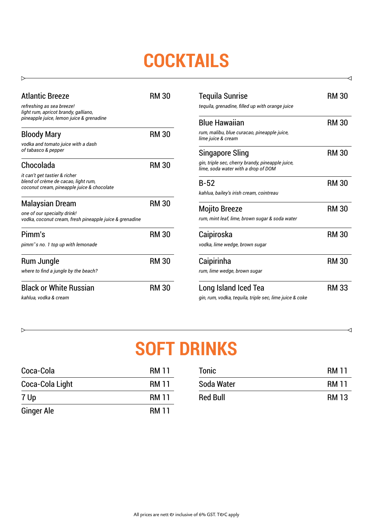## **COCKTAILS**

| <b>Atlantic Breeze</b><br>refreshing as sea breeze!                                                                | <b>RM 30</b> |
|--------------------------------------------------------------------------------------------------------------------|--------------|
| light rum, apricot brandy, galliano,<br>pineapple juice, lemon juice & grenadine                                   |              |
| <b>Bloody Mary</b>                                                                                                 | <b>RM30</b>  |
| vodka and tomato juice with a dash<br>of tabasco & pepper                                                          |              |
| Chocolada                                                                                                          | <b>RM 30</b> |
| it can't get tastier & richer<br>blend of crème de cacao, light rum,<br>coconut cream, pineapple juice & chocolate |              |
| Malaysian Dream                                                                                                    | <b>RM30</b>  |
| one of our specialty drink!<br>vodka, coconut cream, fresh pineapple juice & grenadine                             |              |
| Pimm's                                                                                                             | <b>RM30</b>  |
| pimm's no. 1 top up with lemonade                                                                                  |              |
| Rum Jungle                                                                                                         | <b>RM 30</b> |
| where to find a jungle by the beach?                                                                               |              |
| <b>Black or White Russian</b>                                                                                      | <b>RM30</b>  |
| kahlua, vodka & cream                                                                                              |              |

 $\triangleright$ 

 $\,>\,$ 

| <b>Tequila Sunrise</b>                                                                  | <b>RM 30</b> |
|-----------------------------------------------------------------------------------------|--------------|
| tequila, grenadine, filled up with orange juice                                         |              |
| <b>Blue Hawaiian</b>                                                                    | <b>RM30</b>  |
| rum, malibu, blue curacao, pineapple juice,<br>lime juice & cream                       |              |
| Singapore Sling                                                                         | <b>RM 30</b> |
| gin, triple sec, cherry brandy, pineapple juice,<br>lime, soda water with a drop of DOM |              |
| $B-52$                                                                                  | <b>RM 30</b> |
| kahlua, bailey's irish cream, cointreau                                                 |              |
| <b>Mojito Breeze</b>                                                                    | <b>RM30</b>  |
| rum, mint leaf, lime, brown sugar & soda water                                          |              |
| Caipiroska                                                                              | <b>RM30</b>  |
| vodka, lime wedge, brown sugar                                                          |              |
| Caipirinha                                                                              | <b>RM 30</b> |
| rum, lime wedge, brown sugar                                                            |              |
| Long Island Iced Tea                                                                    | <b>RM 33</b> |
| gin, rum, vodka, tequila, triple sec, lime juice & coke                                 |              |

 $\triangleleft$ 

◁

### **SOFT DRINKS**

| Coca-Cola         | <b>RM 11</b> |
|-------------------|--------------|
| Coca-Cola Light   | <b>RM 11</b> |
| 7 Up              | <b>RM 11</b> |
| <b>Ginger Ale</b> | <b>RM 11</b> |

| <b>Tonic</b>    | <b>RM 11</b> |
|-----------------|--------------|
| Soda Water      | <b>RM 11</b> |
| <b>Red Bull</b> | <b>RM 13</b> |